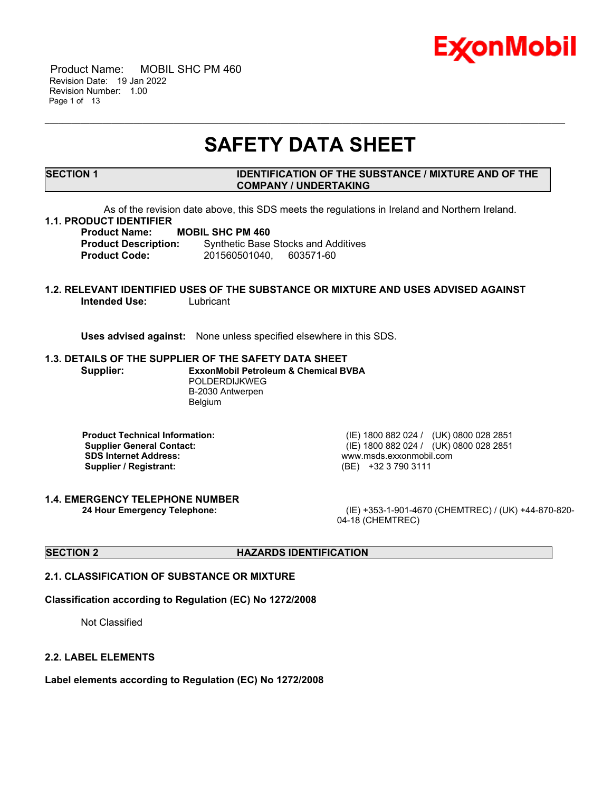

 Product Name: MOBIL SHC PM 460 Revision Date: 19 Jan 2022 Revision Number: 1.00 Page 1 of 13

# **SAFETY DATA SHEET**

\_\_\_\_\_\_\_\_\_\_\_\_\_\_\_\_\_\_\_\_\_\_\_\_\_\_\_\_\_\_\_\_\_\_\_\_\_\_\_\_\_\_\_\_\_\_\_\_\_\_\_\_\_\_\_\_\_\_\_\_\_\_\_\_\_\_\_\_\_\_\_\_\_\_\_\_\_\_\_\_\_\_\_\_\_\_\_\_\_\_\_\_\_\_\_\_\_\_\_\_\_\_\_\_\_\_\_\_\_\_\_\_\_\_\_\_\_

### **SECTION 1 IDENTIFICATION OF THE SUBSTANCE / MIXTURE AND OF THE COMPANY / UNDERTAKING**

As of the revision date above, this SDS meets the regulations in Ireland and Northern Ireland.

# **1.1. PRODUCT IDENTIFIER**

**Product Name: MOBIL SHC PM 460**

**Product Description:** Synthetic Base Stocks and Additives **Product Code:** 201560501040, 603571-60

# **1.2. RELEVANT IDENTIFIED USES OF THE SUBSTANCE OR MIXTURE AND USES ADVISED AGAINST Intended Use:** Lubricant

**Uses advised against:** None unless specified elsewhere in this SDS.

#### **1.3. DETAILS OF THE SUPPLIER OF THE SAFETY DATA SHEET**

**Supplier: ExxonMobil Petroleum & Chemical BVBA** POLDERDIJKWEG B-2030 Antwerpen Belgium

**Product Technical Information:** (IE) 1800 882 024 / (UK) 0800 028 2851 **SDS Internet Address:** www.msds.exxonmobil.com **Supplier / Registrant:** (BE) +32 3 790 3111

**1.4. EMERGENCY TELEPHONE NUMBER**

**Supplier General Contact:** (IE) 1800 882 024 / (UK) 0800 028 2851

**24 Hour Emergency Telephone:** (IE) +353-1-901-4670 (CHEMTREC) / (UK) +44-870-820- 04-18 (CHEMTREC)

# **SECTION 2 HAZARDS IDENTIFICATION**

# **2.1. CLASSIFICATION OF SUBSTANCE OR MIXTURE**

### **Classification according to Regulation (EC) No 1272/2008**

Not Classified

#### **2.2. LABEL ELEMENTS**

**Label elements according to Regulation (EC) No 1272/2008**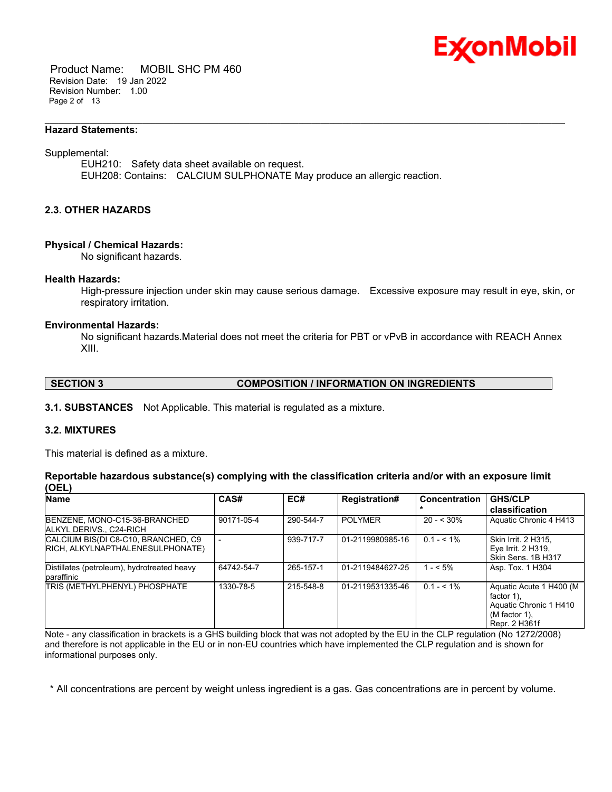

 Product Name: MOBIL SHC PM 460 Revision Date: 19 Jan 2022 Revision Number: 1.00 Page 2 of 13

#### **Hazard Statements:**

#### Supplemental:

EUH210: Safety data sheet available on request. EUH208: Contains: CALCIUM SULPHONATE May produce an allergic reaction.

\_\_\_\_\_\_\_\_\_\_\_\_\_\_\_\_\_\_\_\_\_\_\_\_\_\_\_\_\_\_\_\_\_\_\_\_\_\_\_\_\_\_\_\_\_\_\_\_\_\_\_\_\_\_\_\_\_\_\_\_\_\_\_\_\_\_\_\_\_\_\_\_\_\_\_\_\_\_\_\_\_\_\_\_\_\_\_\_\_\_\_\_\_\_\_\_\_\_\_\_\_\_\_\_\_\_\_\_\_\_\_\_\_\_\_\_\_

# **2.3. OTHER HAZARDS**

#### **Physical / Chemical Hazards:**

No significant hazards.

#### **Health Hazards:**

High-pressure injection under skin may cause serious damage. Excessive exposure may result in eye, skin, or respiratory irritation.

#### **Environmental Hazards:**

No significant hazards.Material does not meet the criteria for PBT or vPvB in accordance with REACH Annex XIII.

# **SECTION 3 COMPOSITION / INFORMATION ON INGREDIENTS**

**3.1. SUBSTANCES** Not Applicable. This material is regulated as a mixture.

# **3.2. MIXTURES**

This material is defined as a mixture.

### **Reportable hazardous substance(s) complying with the classification criteria and/or with an exposure limit (OEL)**

| <b>Name</b>                                                             | CAS#       | EC#       | <b>Registration#</b> | <b>Concentration</b> | <b>GHS/CLP</b><br>classification                                                                   |
|-------------------------------------------------------------------------|------------|-----------|----------------------|----------------------|----------------------------------------------------------------------------------------------------|
| BENZENE, MONO-C15-36-BRANCHED<br>ALKYL DERIVS C24-RICH                  | 90171-05-4 | 290-544-7 | <b>POLYMER</b>       | $20 - 530%$          | Aquatic Chronic 4 H413                                                                             |
| CALCIUM BIS(DI C8-C10, BRANCHED, C9<br>RICH, ALKYLNAPTHALENESULPHONATE) |            | 939-717-7 | 01-2119980985-16     | $0.1 - 5.1\%$        | Skin Irrit. 2 H315.<br>Eye Irrit. 2 H319,<br>Skin Sens, 1B H317                                    |
| Distillates (petroleum), hydrotreated heavy<br>paraffinic               | 64742-54-7 | 265-157-1 | 01-2119484627-25     | $1 - 5\%$            | Asp. Tox. 1 H304                                                                                   |
| <b>TRIS (METHYLPHENYL) PHOSPHATE</b>                                    | 1330-78-5  | 215-548-8 | 01-2119531335-46     | $0.1 - 5.1\%$        | Aquatic Acute 1 H400 (M)<br>factor 1).<br>Aquatic Chronic 1 H410<br>(M factor 1),<br>Repr. 2 H361f |

Note - any classification in brackets is a GHS building block that was not adopted by the EU in the CLP regulation (No 1272/2008) and therefore is not applicable in the EU or in non-EU countries which have implemented the CLP regulation and is shown for informational purposes only.

\* All concentrations are percent by weight unless ingredient is a gas. Gas concentrations are in percent by volume.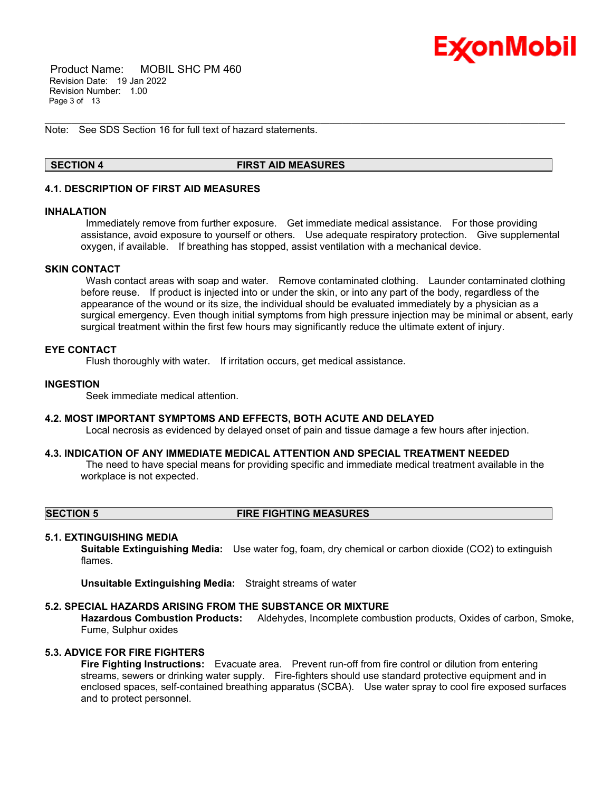

 Product Name: MOBIL SHC PM 460 Revision Date: 19 Jan 2022 Revision Number: 1.00 Page 3 of 13

Note: See SDS Section 16 for full text of hazard statements.

### **SECTION 4 FIRST AID MEASURES**

\_\_\_\_\_\_\_\_\_\_\_\_\_\_\_\_\_\_\_\_\_\_\_\_\_\_\_\_\_\_\_\_\_\_\_\_\_\_\_\_\_\_\_\_\_\_\_\_\_\_\_\_\_\_\_\_\_\_\_\_\_\_\_\_\_\_\_\_\_\_\_\_\_\_\_\_\_\_\_\_\_\_\_\_\_\_\_\_\_\_\_\_\_\_\_\_\_\_\_\_\_\_\_\_\_\_\_\_\_\_\_\_\_\_\_\_\_

# **4.1. DESCRIPTION OF FIRST AID MEASURES**

#### **INHALATION**

Immediately remove from further exposure. Get immediate medical assistance. For those providing assistance, avoid exposure to yourself or others. Use adequate respiratory protection. Give supplemental oxygen, if available. If breathing has stopped, assist ventilation with a mechanical device.

### **SKIN CONTACT**

Wash contact areas with soap and water. Remove contaminated clothing. Launder contaminated clothing before reuse. If product is injected into or under the skin, or into any part of the body, regardless of the appearance of the wound or its size, the individual should be evaluated immediately by a physician as a surgical emergency. Even though initial symptoms from high pressure injection may be minimal or absent, early surgical treatment within the first few hours may significantly reduce the ultimate extent of injury.

#### **EYE CONTACT**

Flush thoroughly with water. If irritation occurs, get medical assistance.

#### **INGESTION**

Seek immediate medical attention.

# **4.2. MOST IMPORTANT SYMPTOMS AND EFFECTS, BOTH ACUTE AND DELAYED**

Local necrosis as evidenced by delayed onset of pain and tissue damage a few hours after injection.

# **4.3. INDICATION OF ANY IMMEDIATE MEDICAL ATTENTION AND SPECIAL TREATMENT NEEDED**

The need to have special means for providing specific and immediate medical treatment available in the workplace is not expected.

### **SECTION 5 FIRE FIGHTING MEASURES**

### **5.1. EXTINGUISHING MEDIA**

**Suitable Extinguishing Media:** Use water fog, foam, dry chemical or carbon dioxide (CO2) to extinguish flames.

**Unsuitable Extinguishing Media:** Straight streams of water

#### **5.2. SPECIAL HAZARDS ARISING FROM THE SUBSTANCE OR MIXTURE**

**Hazardous Combustion Products:** Aldehydes, Incomplete combustion products, Oxides of carbon, Smoke, Fume, Sulphur oxides

# **5.3. ADVICE FOR FIRE FIGHTERS**

**Fire Fighting Instructions:** Evacuate area. Prevent run-off from fire control or dilution from entering streams, sewers or drinking water supply. Fire-fighters should use standard protective equipment and in enclosed spaces, self-contained breathing apparatus (SCBA). Use water spray to cool fire exposed surfaces and to protect personnel.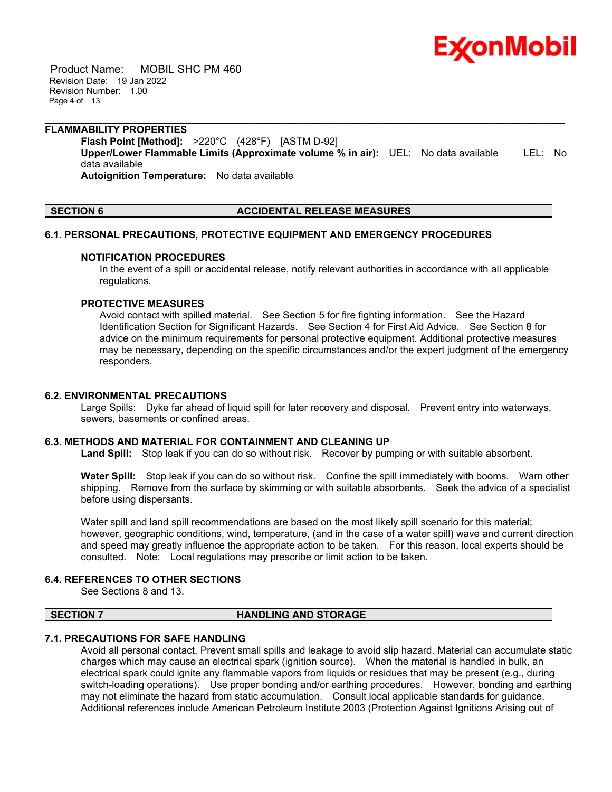

 Product Name: MOBIL SHC PM 460 Revision Date: 19 Jan 2022 Revision Number: 1.00 Page 4 of 13

#### **FLAMMABILITY PROPERTIES**

**Flash Point [Method]:** >220°C (428°F) [ASTM D-92] **Upper/Lower Flammable Limits (Approximate volume % in air):** UEL: No data available LEL: No data available **Autoignition Temperature:** No data available

\_\_\_\_\_\_\_\_\_\_\_\_\_\_\_\_\_\_\_\_\_\_\_\_\_\_\_\_\_\_\_\_\_\_\_\_\_\_\_\_\_\_\_\_\_\_\_\_\_\_\_\_\_\_\_\_\_\_\_\_\_\_\_\_\_\_\_\_\_\_\_\_\_\_\_\_\_\_\_\_\_\_\_\_\_\_\_\_\_\_\_\_\_\_\_\_\_\_\_\_\_\_\_\_\_\_\_\_\_\_\_\_\_\_\_\_\_

# **SECTION 6 ACCIDENTAL RELEASE MEASURES**

#### **6.1. PERSONAL PRECAUTIONS, PROTECTIVE EQUIPMENT AND EMERGENCY PROCEDURES**

#### **NOTIFICATION PROCEDURES**

In the event of a spill or accidental release, notify relevant authorities in accordance with all applicable regulations.

## **PROTECTIVE MEASURES**

Avoid contact with spilled material. See Section 5 for fire fighting information. See the Hazard Identification Section for Significant Hazards. See Section 4 for First Aid Advice. See Section 8 for advice on the minimum requirements for personal protective equipment. Additional protective measures may be necessary, depending on the specific circumstances and/or the expert judgment of the emergency responders.

### **6.2. ENVIRONMENTAL PRECAUTIONS**

Large Spills: Dyke far ahead of liquid spill for later recovery and disposal. Prevent entry into waterways, sewers, basements or confined areas.

#### **6.3. METHODS AND MATERIAL FOR CONTAINMENT AND CLEANING UP**

**Land Spill:** Stop leak if you can do so without risk. Recover by pumping or with suitable absorbent.

**Water Spill:** Stop leak if you can do so without risk. Confine the spill immediately with booms. Warn other shipping. Remove from the surface by skimming or with suitable absorbents. Seek the advice of a specialist before using dispersants.

Water spill and land spill recommendations are based on the most likely spill scenario for this material; however, geographic conditions, wind, temperature, (and in the case of a water spill) wave and current direction and speed may greatly influence the appropriate action to be taken. For this reason, local experts should be consulted. Note: Local regulations may prescribe or limit action to be taken.

# **6.4. REFERENCES TO OTHER SECTIONS**

See Sections 8 and 13.

#### **SECTION 7 HANDLING AND STORAGE**

# **7.1. PRECAUTIONS FOR SAFE HANDLING**

Avoid all personal contact. Prevent small spills and leakage to avoid slip hazard. Material can accumulate static charges which may cause an electrical spark (ignition source). When the material is handled in bulk, an electrical spark could ignite any flammable vapors from liquids or residues that may be present (e.g., during switch-loading operations). Use proper bonding and/or earthing procedures. However, bonding and earthing may not eliminate the hazard from static accumulation. Consult local applicable standards for guidance. Additional references include American Petroleum Institute 2003 (Protection Against Ignitions Arising out of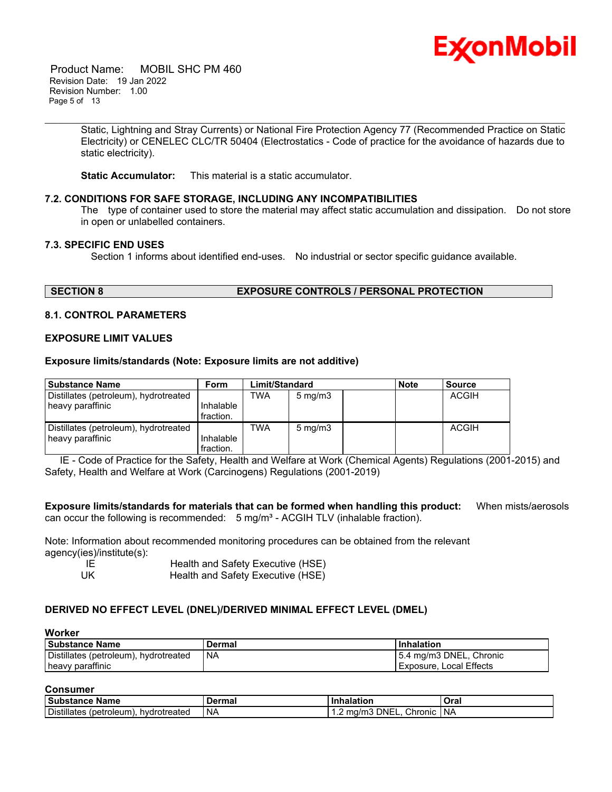

 Product Name: MOBIL SHC PM 460 Revision Date: 19 Jan 2022 Revision Number: 1.00 Page 5 of 13

> Static, Lightning and Stray Currents) or National Fire Protection Agency 77 (Recommended Practice on Static Electricity) or CENELEC CLC/TR 50404 (Electrostatics - Code of practice for the avoidance of hazards due to static electricity).

\_\_\_\_\_\_\_\_\_\_\_\_\_\_\_\_\_\_\_\_\_\_\_\_\_\_\_\_\_\_\_\_\_\_\_\_\_\_\_\_\_\_\_\_\_\_\_\_\_\_\_\_\_\_\_\_\_\_\_\_\_\_\_\_\_\_\_\_\_\_\_\_\_\_\_\_\_\_\_\_\_\_\_\_\_\_\_\_\_\_\_\_\_\_\_\_\_\_\_\_\_\_\_\_\_\_\_\_\_\_\_\_\_\_\_\_\_

**Static Accumulator:** This material is a static accumulator.

### **7.2. CONDITIONS FOR SAFE STORAGE, INCLUDING ANY INCOMPATIBILITIES**

The type of container used to store the material may affect static accumulation and dissipation. Do not store in open or unlabelled containers.

# **7.3. SPECIFIC END USES**

Section 1 informs about identified end-uses. No industrial or sector specific guidance available.

# **SECTION 8 EXPOSURE CONTROLS / PERSONAL PROTECTION**

### **8.1. CONTROL PARAMETERS**

#### **EXPOSURE LIMIT VALUES**

#### **Exposure limits/standards (Note: Exposure limits are not additive)**

| <b>Substance Name</b>                 | Form                   | Limit/Standard |                  | <b>Note</b> | <b>Source</b> |
|---------------------------------------|------------------------|----------------|------------------|-------------|---------------|
| Distillates (petroleum), hydrotreated |                        | TWA            | $5 \text{ mg/m}$ |             | ACGIH         |
| heavy paraffinic                      | Inhalable              |                |                  |             |               |
|                                       | fraction.              |                |                  |             |               |
| Distillates (petroleum), hydrotreated |                        | TWA            | $5 \text{ mg/m}$ |             | ACGIH         |
| heavy paraffinic                      | Inhalable<br>fraction. |                |                  |             |               |

 IE - Code of Practice for the Safety, Health and Welfare at Work (Chemical Agents) Regulations (2001-2015) and Safety, Health and Welfare at Work (Carcinogens) Regulations (2001-2019)

**Exposure limits/standards for materials that can be formed when handling this product:** When mists/aerosols can occur the following is recommended:  $5 \text{ mg/m}^3$  - ACGIH TLV (inhalable fraction).

Note: Information about recommended monitoring procedures can be obtained from the relevant agency(ies)/institute(s):

| -IE  | Health and Safety Executive (HSE) |
|------|-----------------------------------|
| - UK | Health and Safety Executive (HSE) |

# **DERIVED NO EFFECT LEVEL (DNEL)/DERIVED MINIMAL EFFECT LEVEL (DMEL)**

# **Worker**

| <b>Substance Name</b>                 | Dermal    | Inhalation              |
|---------------------------------------|-----------|-------------------------|
| Distillates (petroleum), hydrotreated | <b>NA</b> | 5.4 mg/m3 DNEL, Chronic |
| heavy paraffinic                      |           | Exposure, Local Effects |

### **Consumer**

| <b>Substance</b><br>∍Name                            | วerma.    | halation                               | Oral      |
|------------------------------------------------------|-----------|----------------------------------------|-----------|
| <b>Distillates</b><br>hydrotreated<br>∶ petroleum) ر | <b>NA</b> | Chronic<br>DNEL.<br>ma/n<br>ברויי<br>. | <b>NA</b> |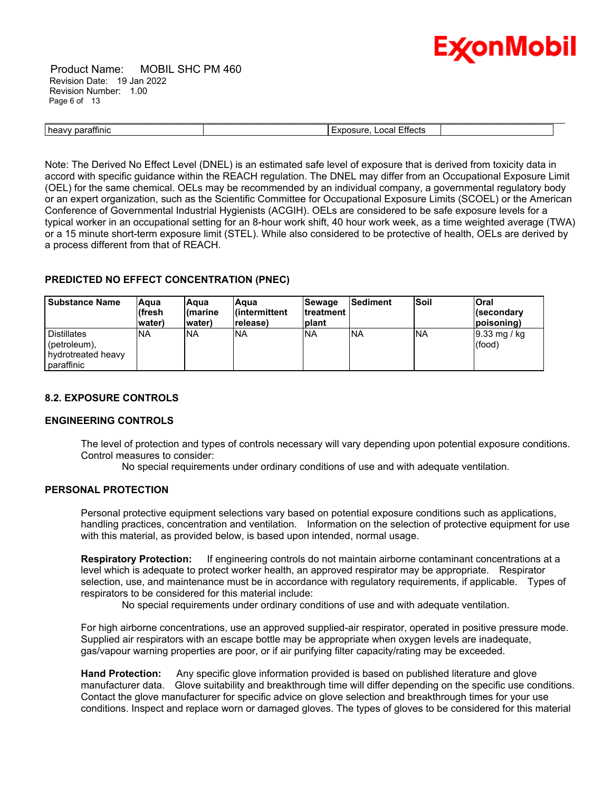

 Product Name: MOBIL SHC PM 460 Revision Date: 19 Jan 2022 Revision Number: 1.00 Page 6 of 13

\_\_\_\_\_\_\_\_\_\_\_\_\_\_\_\_\_\_\_\_\_\_\_\_\_\_\_\_\_\_\_\_\_\_\_\_\_\_\_\_\_\_\_\_\_\_\_\_\_\_\_\_\_\_\_\_\_\_\_\_\_\_\_\_\_\_\_\_\_\_\_\_\_\_\_\_\_\_\_\_\_\_\_\_\_\_\_\_\_\_\_\_\_\_\_\_\_\_\_\_\_\_\_\_\_\_\_\_\_\_\_\_\_\_\_\_\_ heavy paraffinic **Exposure, Local Effects Exposure, Local Effects** 

Note: The Derived No Effect Level (DNEL) is an estimated safe level of exposure that is derived from toxicity data in accord with specific guidance within the REACH regulation. The DNEL may differ from an Occupational Exposure Limit (OEL) for the same chemical. OELs may be recommended by an individual company, a governmental regulatory body or an expert organization, such as the Scientific Committee for Occupational Exposure Limits (SCOEL) or the American Conference of Governmental Industrial Hygienists (ACGIH). OELs are considered to be safe exposure levels for a typical worker in an occupational setting for an 8-hour work shift, 40 hour work week, as a time weighted average (TWA) or a 15 minute short-term exposure limit (STEL). While also considered to be protective of health, OELs are derived by a process different from that of REACH.

# **PREDICTED NO EFFECT CONCENTRATION (PNEC)**

| <b>Substance Name</b>                                                        | Aqua<br>(fresh<br>lwater) | lAqua<br>l(marine<br>water) | lAaua<br>l(intermittent<br>release) | <b>Sewage</b><br><b>Itreatment</b><br>Iplant | <b>Sediment</b> | <b>Soil</b> | lOral<br>∣(secondary<br>poisoning) |
|------------------------------------------------------------------------------|---------------------------|-----------------------------|-------------------------------------|----------------------------------------------|-----------------|-------------|------------------------------------|
| <b>Distillates</b><br>$ $ (petroleum),<br>I hydrotreated heavy<br>paraffinic | <b>NA</b>                 | <b>INA</b>                  | <b>NA</b>                           | <b>INA</b>                                   | <b>INA</b>      | <b>NA</b>   | $9.33 \text{ mg}$ / kg<br>(food)   |

# **8.2. EXPOSURE CONTROLS**

# **ENGINEERING CONTROLS**

The level of protection and types of controls necessary will vary depending upon potential exposure conditions. Control measures to consider:

No special requirements under ordinary conditions of use and with adequate ventilation.

# **PERSONAL PROTECTION**

Personal protective equipment selections vary based on potential exposure conditions such as applications, handling practices, concentration and ventilation. Information on the selection of protective equipment for use with this material, as provided below, is based upon intended, normal usage.

**Respiratory Protection:** If engineering controls do not maintain airborne contaminant concentrations at a level which is adequate to protect worker health, an approved respirator may be appropriate. Respirator selection, use, and maintenance must be in accordance with regulatory requirements, if applicable. Types of respirators to be considered for this material include:

No special requirements under ordinary conditions of use and with adequate ventilation.

For high airborne concentrations, use an approved supplied-air respirator, operated in positive pressure mode. Supplied air respirators with an escape bottle may be appropriate when oxygen levels are inadequate, gas/vapour warning properties are poor, or if air purifying filter capacity/rating may be exceeded.

**Hand Protection:** Any specific glove information provided is based on published literature and glove manufacturer data. Glove suitability and breakthrough time will differ depending on the specific use conditions. Contact the glove manufacturer for specific advice on glove selection and breakthrough times for your use conditions. Inspect and replace worn or damaged gloves. The types of gloves to be considered for this material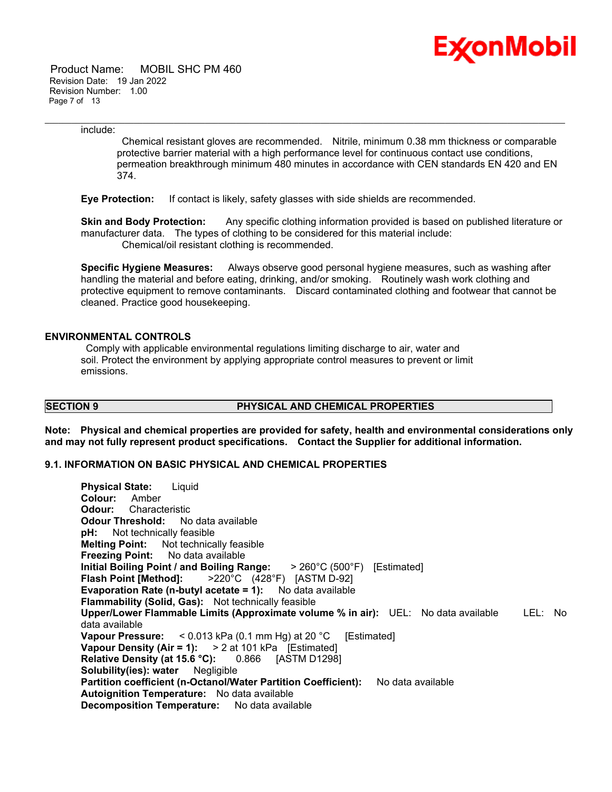

 Product Name: MOBIL SHC PM 460 Revision Date: 19 Jan 2022 Revision Number: 1.00 Page 7 of 13

include:

Chemical resistant gloves are recommended. Nitrile, minimum 0.38 mm thickness or comparable protective barrier material with a high performance level for continuous contact use conditions, permeation breakthrough minimum 480 minutes in accordance with CEN standards EN 420 and EN 374.

\_\_\_\_\_\_\_\_\_\_\_\_\_\_\_\_\_\_\_\_\_\_\_\_\_\_\_\_\_\_\_\_\_\_\_\_\_\_\_\_\_\_\_\_\_\_\_\_\_\_\_\_\_\_\_\_\_\_\_\_\_\_\_\_\_\_\_\_\_\_\_\_\_\_\_\_\_\_\_\_\_\_\_\_\_\_\_\_\_\_\_\_\_\_\_\_\_\_\_\_\_\_\_\_\_\_\_\_\_\_\_\_\_\_\_\_\_

**Eye Protection:** If contact is likely, safety glasses with side shields are recommended.

**Skin and Body Protection:** Any specific clothing information provided is based on published literature or manufacturer data. The types of clothing to be considered for this material include: Chemical/oil resistant clothing is recommended.

**Specific Hygiene Measures:** Always observe good personal hygiene measures, such as washing after handling the material and before eating, drinking, and/or smoking. Routinely wash work clothing and protective equipment to remove contaminants. Discard contaminated clothing and footwear that cannot be cleaned. Practice good housekeeping.

### **ENVIRONMENTAL CONTROLS**

Comply with applicable environmental regulations limiting discharge to air, water and soil. Protect the environment by applying appropriate control measures to prevent or limit emissions.

# **SECTION 9 PHYSICAL AND CHEMICAL PROPERTIES**

**Note: Physical and chemical properties are provided for safety, health and environmental considerations only and may not fully represent product specifications. Contact the Supplier for additional information.**

### **9.1. INFORMATION ON BASIC PHYSICAL AND CHEMICAL PROPERTIES**

**Physical State:** Liquid **Colour:** Amber **Odour:** Characteristic **Odour Threshold:** No data available **pH:** Not technically feasible **Melting Point:** Not technically feasible **Freezing Point:** No data available **Initial Boiling Point / and Boiling Range:** > 260°C (500°F) [Estimated] **Flash Point [Method]:** >220°C (428°F) [ASTM D-92] **Evaporation Rate (n-butyl acetate = 1):** No data available **Flammability (Solid, Gas):** Not technically feasible **Upper/Lower Flammable Limits (Approximate volume % in air):** UEL: No data available LEL: No data available **Vapour Pressure:** < 0.013 kPa (0.1 mm Hg) at 20 °C [Estimated] **Vapour Density (Air = 1):** > 2 at 101 kPa [Estimated] **Relative Density (at 15.6 °C):** 0.866 [ASTM D1298] **Solubility(ies): water** Negligible **Partition coefficient (n-Octanol/Water Partition Coefficient):** No data available **Autoignition Temperature:** No data available **Decomposition Temperature:** No data available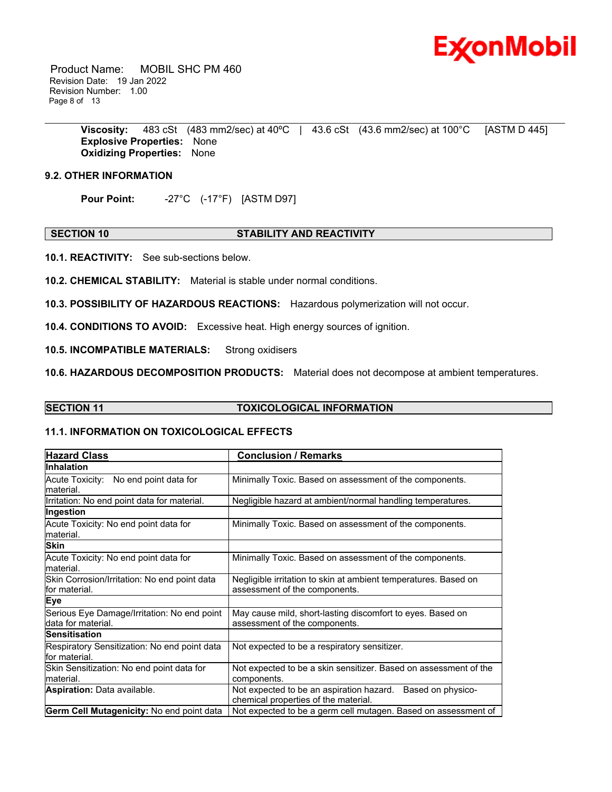

 Product Name: MOBIL SHC PM 460 Revision Date: 19 Jan 2022 Revision Number: 1.00 Page 8 of 13

> **Viscosity:** 483 cSt (483 mm2/sec) at 40ºC | 43.6 cSt (43.6 mm2/sec) at 100°C [ASTM D 445] **Explosive Properties:** None **Oxidizing Properties:** None

\_\_\_\_\_\_\_\_\_\_\_\_\_\_\_\_\_\_\_\_\_\_\_\_\_\_\_\_\_\_\_\_\_\_\_\_\_\_\_\_\_\_\_\_\_\_\_\_\_\_\_\_\_\_\_\_\_\_\_\_\_\_\_\_\_\_\_\_\_\_\_\_\_\_\_\_\_\_\_\_\_\_\_\_\_\_\_\_\_\_\_\_\_\_\_\_\_\_\_\_\_\_\_\_\_\_\_\_\_\_\_\_\_\_\_\_\_

# **9.2. OTHER INFORMATION**

**Pour Point:** -27°C (-17°F) [ASTM D97]

#### **SECTION 10 STABILITY AND REACTIVITY**

**10.1. REACTIVITY:** See sub-sections below.

**10.2. CHEMICAL STABILITY:** Material is stable under normal conditions.

**10.3. POSSIBILITY OF HAZARDOUS REACTIONS:** Hazardous polymerization will not occur.

**10.4. CONDITIONS TO AVOID:** Excessive heat. High energy sources of ignition.

**10.5. INCOMPATIBLE MATERIALS:** Strong oxidisers

**10.6. HAZARDOUS DECOMPOSITION PRODUCTS:** Material does not decompose at ambient temperatures.

# **SECTION 11 TOXICOLOGICAL INFORMATION**

# **11.1. INFORMATION ON TOXICOLOGICAL EFFECTS**

| <b>Hazard Class</b>                                               | <b>Conclusion / Remarks</b>                                                                        |  |
|-------------------------------------------------------------------|----------------------------------------------------------------------------------------------------|--|
| <b>Inhalation</b>                                                 |                                                                                                    |  |
| Acute Toxicity: No end point data for<br>material.                | Minimally Toxic. Based on assessment of the components.                                            |  |
| Irritation: No end point data for material.                       | Negligible hazard at ambient/normal handling temperatures.                                         |  |
| Ingestion                                                         |                                                                                                    |  |
| Acute Toxicity: No end point data for<br>material.                | Minimally Toxic. Based on assessment of the components.                                            |  |
| Skin                                                              |                                                                                                    |  |
| Acute Toxicity: No end point data for<br>material.                | Minimally Toxic. Based on assessment of the components.                                            |  |
| Skin Corrosion/Irritation: No end point data<br>for material.     | Negligible irritation to skin at ambient temperatures. Based on<br>assessment of the components.   |  |
| <b>Eye</b>                                                        |                                                                                                    |  |
| Serious Eye Damage/Irritation: No end point<br>data for material. | May cause mild, short-lasting discomfort to eyes. Based on<br>assessment of the components.        |  |
| <b>Sensitisation</b>                                              |                                                                                                    |  |
| Respiratory Sensitization: No end point data<br>for material.     | Not expected to be a respiratory sensitizer.                                                       |  |
| Skin Sensitization: No end point data for<br>lmaterial.           | Not expected to be a skin sensitizer. Based on assessment of the<br>components.                    |  |
| <b>Aspiration: Data available.</b>                                | Not expected to be an aspiration hazard. Based on physico-<br>chemical properties of the material. |  |
| Germ Cell Mutagenicity: No end point data                         | Not expected to be a germ cell mutagen. Based on assessment of                                     |  |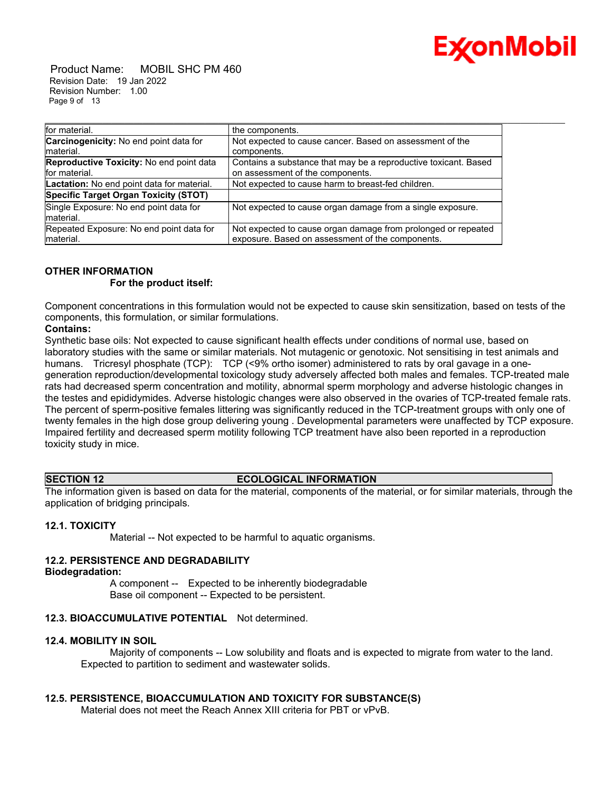

 Product Name: MOBIL SHC PM 460 Revision Date: 19 Jan 2022 Revision Number: 1.00 Page 9 of 13

| for material.                                             | the components.                                                                                                   |
|-----------------------------------------------------------|-------------------------------------------------------------------------------------------------------------------|
| Carcinogenicity: No end point data for<br>lmaterial.      | Not expected to cause cancer. Based on assessment of the<br>components.                                           |
| Reproductive Toxicity: No end point data<br>for material. | Contains a substance that may be a reproductive toxicant. Based<br>on assessment of the components.               |
| Lactation: No end point data for material.                | Not expected to cause harm to breast-fed children.                                                                |
| Specific Target Organ Toxicity (STOT)                     |                                                                                                                   |
| Single Exposure: No end point data for<br>material.       | Not expected to cause organ damage from a single exposure.                                                        |
| Repeated Exposure: No end point data for<br>material.     | Not expected to cause organ damage from prolonged or repeated<br>exposure. Based on assessment of the components. |

# **OTHER INFORMATION**

### **For the product itself:**

Component concentrations in this formulation would not be expected to cause skin sensitization, based on tests of the components, this formulation, or similar formulations.

\_\_\_\_\_\_\_\_\_\_\_\_\_\_\_\_\_\_\_\_\_\_\_\_\_\_\_\_\_\_\_\_\_\_\_\_\_\_\_\_\_\_\_\_\_\_\_\_\_\_\_\_\_\_\_\_\_\_\_\_\_\_\_\_\_\_\_\_\_\_\_\_\_\_\_\_\_\_\_\_\_\_\_\_\_\_\_\_\_\_\_\_\_\_\_\_\_\_\_\_\_\_\_\_\_\_\_\_\_\_\_\_\_\_\_\_\_

# **Contains:**

Synthetic base oils: Not expected to cause significant health effects under conditions of normal use, based on laboratory studies with the same or similar materials. Not mutagenic or genotoxic. Not sensitising in test animals and humans. Tricresyl phosphate (TCP): TCP (<9% ortho isomer) administered to rats by oral gavage in a onegeneration reproduction/developmental toxicology study adversely affected both males and females. TCP-treated male rats had decreased sperm concentration and motility, abnormal sperm morphology and adverse histologic changes in the testes and epididymides. Adverse histologic changes were also observed in the ovaries of TCP-treated female rats. The percent of sperm-positive females littering was significantly reduced in the TCP-treatment groups with only one of twenty females in the high dose group delivering young . Developmental parameters were unaffected by TCP exposure. Impaired fertility and decreased sperm motility following TCP treatment have also been reported in a reproduction toxicity study in mice.

# **SECTION 12 ECOLOGICAL INFORMATION**

The information given is based on data for the material, components of the material, or for similar materials, through the application of bridging principals.

# **12.1. TOXICITY**

Material -- Not expected to be harmful to aquatic organisms.

# **12.2. PERSISTENCE AND DEGRADABILITY**

# **Biodegradation:**

 A component -- Expected to be inherently biodegradable Base oil component -- Expected to be persistent.

# **12.3. BIOACCUMULATIVE POTENTIAL** Not determined.

# **12.4. MOBILITY IN SOIL**

 Majority of components -- Low solubility and floats and is expected to migrate from water to the land. Expected to partition to sediment and wastewater solids.

# **12.5. PERSISTENCE, BIOACCUMULATION AND TOXICITY FOR SUBSTANCE(S)**

Material does not meet the Reach Annex XIII criteria for PBT or vPvB.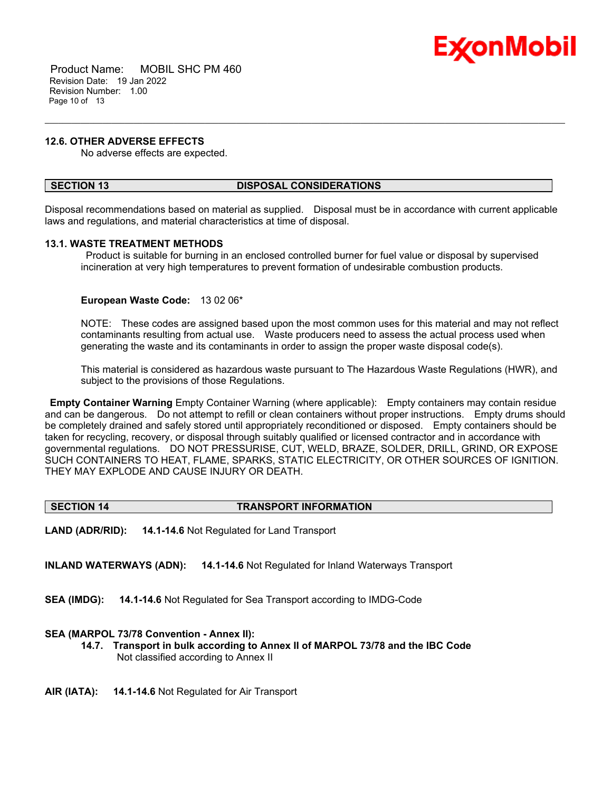

 Product Name: MOBIL SHC PM 460 Revision Date: 19 Jan 2022 Revision Number: 1.00 Page 10 of 13

### **12.6. OTHER ADVERSE EFFECTS**

No adverse effects are expected.

### **SECTION 13 DISPOSAL CONSIDERATIONS**

Disposal recommendations based on material as supplied. Disposal must be in accordance with current applicable laws and regulations, and material characteristics at time of disposal.

\_\_\_\_\_\_\_\_\_\_\_\_\_\_\_\_\_\_\_\_\_\_\_\_\_\_\_\_\_\_\_\_\_\_\_\_\_\_\_\_\_\_\_\_\_\_\_\_\_\_\_\_\_\_\_\_\_\_\_\_\_\_\_\_\_\_\_\_\_\_\_\_\_\_\_\_\_\_\_\_\_\_\_\_\_\_\_\_\_\_\_\_\_\_\_\_\_\_\_\_\_\_\_\_\_\_\_\_\_\_\_\_\_\_\_\_\_

### **13.1. WASTE TREATMENT METHODS**

Product is suitable for burning in an enclosed controlled burner for fuel value or disposal by supervised incineration at very high temperatures to prevent formation of undesirable combustion products.

### **European Waste Code:** 13 02 06\*

NOTE: These codes are assigned based upon the most common uses for this material and may not reflect contaminants resulting from actual use. Waste producers need to assess the actual process used when generating the waste and its contaminants in order to assign the proper waste disposal code(s).

This material is considered as hazardous waste pursuant to The Hazardous Waste Regulations (HWR), and subject to the provisions of those Regulations.

**Empty Container Warning** Empty Container Warning (where applicable): Empty containers may contain residue and can be dangerous. Do not attempt to refill or clean containers without proper instructions. Empty drums should be completely drained and safely stored until appropriately reconditioned or disposed. Empty containers should be taken for recycling, recovery, or disposal through suitably qualified or licensed contractor and in accordance with governmental regulations. DO NOT PRESSURISE, CUT, WELD, BRAZE, SOLDER, DRILL, GRIND, OR EXPOSE SUCH CONTAINERS TO HEAT, FLAME, SPARKS, STATIC ELECTRICITY, OR OTHER SOURCES OF IGNITION. THEY MAY EXPLODE AND CAUSE INJURY OR DEATH.

#### **SECTION 14 TRANSPORT INFORMATION**

**LAND (ADR/RID): 14.1-14.6** Not Regulated for Land Transport

**INLAND WATERWAYS (ADN): 14.1-14.6** Not Regulated for Inland Waterways Transport

**SEA (IMDG): 14.1-14.6** Not Regulated for Sea Transport according to IMDG-Code

#### **SEA (MARPOL 73/78 Convention - Annex II):**

- **14.7. Transport in bulk according to Annex II of MARPOL 73/78 and the IBC Code** Not classified according to Annex II
- **AIR (IATA): 14.1-14.6** Not Regulated for Air Transport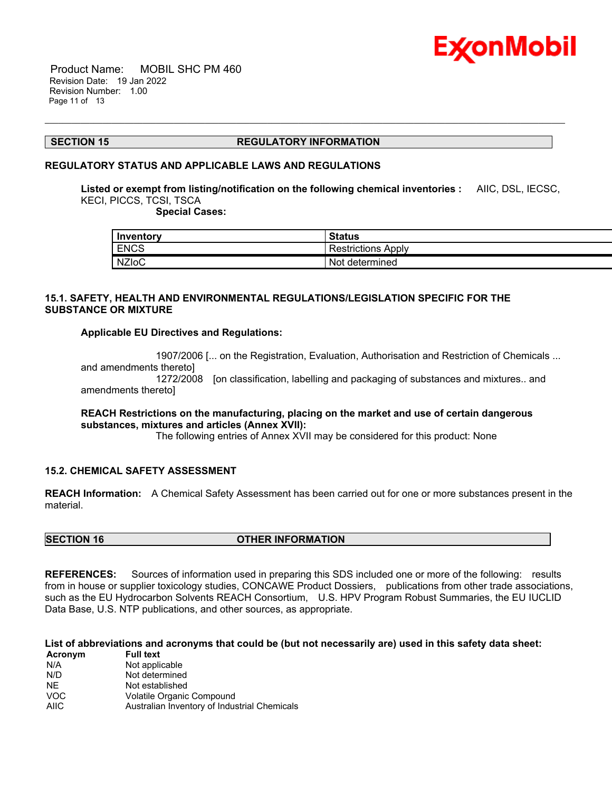

 Product Name: MOBIL SHC PM 460 Revision Date: 19 Jan 2022 Revision Number: 1.00 Page 11 of 13

#### **SECTION 15 REGULATORY INFORMATION**

\_\_\_\_\_\_\_\_\_\_\_\_\_\_\_\_\_\_\_\_\_\_\_\_\_\_\_\_\_\_\_\_\_\_\_\_\_\_\_\_\_\_\_\_\_\_\_\_\_\_\_\_\_\_\_\_\_\_\_\_\_\_\_\_\_\_\_\_\_\_\_\_\_\_\_\_\_\_\_\_\_\_\_\_\_\_\_\_\_\_\_\_\_\_\_\_\_\_\_\_\_\_\_\_\_\_\_\_\_\_\_\_\_\_\_\_\_

#### **REGULATORY STATUS AND APPLICABLE LAWS AND REGULATIONS**

**Listed or exempt from listing/notification on the following chemical inventories :** AIIC, DSL, IECSC, KECI, PICCS, TCSI, TSCA

 **Special Cases:**

| Inventory    | <b>Status</b>             |
|--------------|---------------------------|
| <b>ENCS</b>  | <b>Restrictions Apply</b> |
| <b>NZIoC</b> | Not<br>' determined       |

# **15.1. SAFETY, HEALTH AND ENVIRONMENTAL REGULATIONS/LEGISLATION SPECIFIC FOR THE SUBSTANCE OR MIXTURE**

# **Applicable EU Directives and Regulations:**

 1907/2006 [... on the Registration, Evaluation, Authorisation and Restriction of Chemicals ... and amendments thereto] 1272/2008 [on classification, labelling and packaging of substances and mixtures.. and amendments thereto]

# **REACH Restrictions on the manufacturing, placing on the market and use of certain dangerous substances, mixtures and articles (Annex XVII):**

The following entries of Annex XVII may be considered for this product: None

# **15.2. CHEMICAL SAFETY ASSESSMENT**

**REACH Information:** A Chemical Safety Assessment has been carried out for one or more substances present in the material.

**SECTION 16 OTHER INFORMATION**

**REFERENCES:** Sources of information used in preparing this SDS included one or more of the following: results from in house or supplier toxicology studies, CONCAWE Product Dossiers, publications from other trade associations, such as the EU Hydrocarbon Solvents REACH Consortium, U.S. HPV Program Robust Summaries, the EU IUCLID Data Base, U.S. NTP publications, and other sources, as appropriate.

List of abbreviations and acronyms that could be (but not necessarily are) used in this safety data sheet:<br>Acronym Full text **Acronym** 

| Australian Inventory of Industrial Chemicals |
|----------------------------------------------|
|                                              |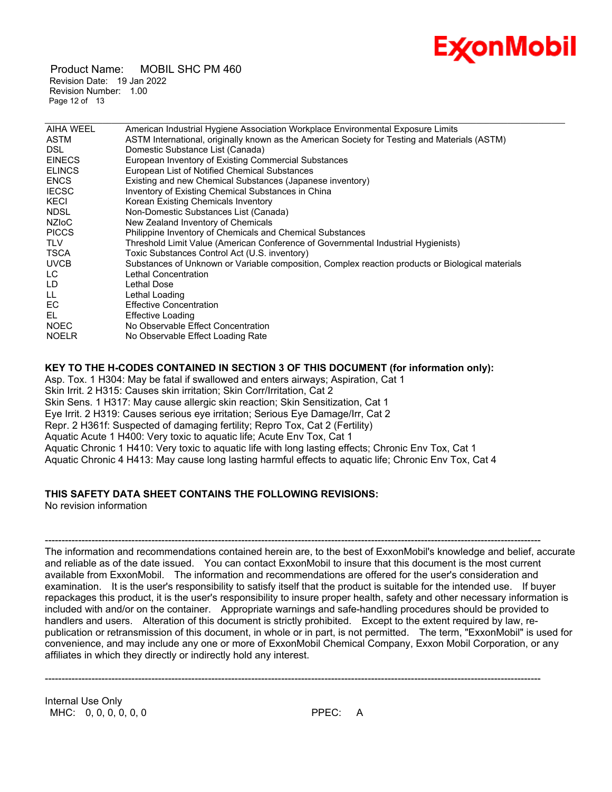

 Product Name: MOBIL SHC PM 460 Revision Date: 19 Jan 2022 Revision Number: 1.00 Page 12 of 13

| AIHA WEEL     | American Industrial Hygiene Association Workplace Environmental Exposure Limits                  |
|---------------|--------------------------------------------------------------------------------------------------|
| <b>ASTM</b>   | ASTM International, originally known as the American Society for Testing and Materials (ASTM)    |
| DSL.          | Domestic Substance List (Canada)                                                                 |
| <b>EINECS</b> | European Inventory of Existing Commercial Substances                                             |
| <b>ELINCS</b> | European List of Notified Chemical Substances                                                    |
| <b>ENCS</b>   | Existing and new Chemical Substances (Japanese inventory)                                        |
| <b>IECSC</b>  | Inventory of Existing Chemical Substances in China                                               |
| KECI          | Korean Existing Chemicals Inventory                                                              |
| <b>NDSL</b>   | Non-Domestic Substances List (Canada)                                                            |
| <b>NZIOC</b>  | New Zealand Inventory of Chemicals                                                               |
| <b>PICCS</b>  | Philippine Inventory of Chemicals and Chemical Substances                                        |
| <b>TLV</b>    | Threshold Limit Value (American Conference of Governmental Industrial Hygienists)                |
| TSCA          | Toxic Substances Control Act (U.S. inventory)                                                    |
| <b>UVCB</b>   | Substances of Unknown or Variable composition, Complex reaction products or Biological materials |
| LC.           | Lethal Concentration                                                                             |
| LD            | Lethal Dose                                                                                      |
| LL.           | Lethal Loading                                                                                   |
| EC.           | <b>Effective Concentration</b>                                                                   |
| EL            | Effective Loading                                                                                |
| <b>NOEC</b>   | No Observable Effect Concentration                                                               |
| <b>NOELR</b>  | No Observable Effect Loading Rate                                                                |
|               |                                                                                                  |

\_\_\_\_\_\_\_\_\_\_\_\_\_\_\_\_\_\_\_\_\_\_\_\_\_\_\_\_\_\_\_\_\_\_\_\_\_\_\_\_\_\_\_\_\_\_\_\_\_\_\_\_\_\_\_\_\_\_\_\_\_\_\_\_\_\_\_\_\_\_\_\_\_\_\_\_\_\_\_\_\_\_\_\_\_\_\_\_\_\_\_\_\_\_\_\_\_\_\_\_\_\_\_\_\_\_\_\_\_\_\_\_\_\_\_\_\_

**KEY TO THE H-CODES CONTAINED IN SECTION 3 OF THIS DOCUMENT (for information only):** Asp. Tox. 1 H304: May be fatal if swallowed and enters airways; Aspiration, Cat 1 Skin Irrit. 2 H315: Causes skin irritation; Skin Corr/Irritation, Cat 2 Skin Sens. 1 H317: May cause allergic skin reaction; Skin Sensitization, Cat 1 Eye Irrit. 2 H319: Causes serious eye irritation; Serious Eye Damage/Irr, Cat 2 Repr. 2 H361f: Suspected of damaging fertility; Repro Tox, Cat 2 (Fertility) Aquatic Acute 1 H400: Very toxic to aquatic life; Acute Env Tox, Cat 1 Aquatic Chronic 1 H410: Very toxic to aquatic life with long lasting effects; Chronic Env Tox, Cat 1 Aquatic Chronic 4 H413: May cause long lasting harmful effects to aquatic life; Chronic Env Tox, Cat 4

# **THIS SAFETY DATA SHEET CONTAINS THE FOLLOWING REVISIONS:**

No revision information

----------------------------------------------------------------------------------------------------------------------------------------------------- The information and recommendations contained herein are, to the best of ExxonMobil's knowledge and belief, accurate and reliable as of the date issued. You can contact ExxonMobil to insure that this document is the most current available from ExxonMobil. The information and recommendations are offered for the user's consideration and examination. It is the user's responsibility to satisfy itself that the product is suitable for the intended use. If buyer repackages this product, it is the user's responsibility to insure proper health, safety and other necessary information is included with and/or on the container. Appropriate warnings and safe-handling procedures should be provided to handlers and users. Alteration of this document is strictly prohibited. Except to the extent required by law, republication or retransmission of this document, in whole or in part, is not permitted. The term, "ExxonMobil" is used for convenience, and may include any one or more of ExxonMobil Chemical Company, Exxon Mobil Corporation, or any affiliates in which they directly or indirectly hold any interest.

-----------------------------------------------------------------------------------------------------------------------------------------------------

Internal Use Only MHC: 0, 0, 0, 0, 0, 0 PPEC: A